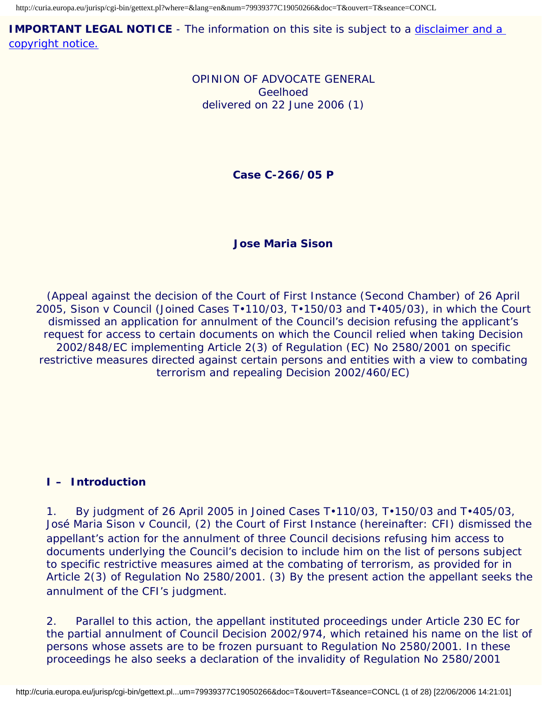http://curia.europa.eu/jurisp/cgi-bin/gettext.pl?where=&lang=en&num=79939377C19050266&doc=T&ouvert=T&seance=CONCL

<span id="page-0-0"></span>**IMPORTANT LEGAL NOTICE** - The information on this site is subject to a disclaimer and a [copyright notice.](javascript:window.open()

> OPINION OF ADVOCATE GENERAL Geelhoed delivered on 22 June 2006 ([1](#page-24-0))

> > **Case C-266/05 P**

#### **Jose Maria Sison**

(Appeal against the decision of the Court of First Instance (Second Chamber) of 26 April 2005, Sison v Council (Joined Cases T•110/03, T•150/03 and T•405/03), in which the Court dismissed an application for annulment of the Council's decision refusing the applicant's request for access to certain documents on which the Council relied when taking Decision 2002/848/EC implementing Article 2(3) of Regulation (EC) No 2580/2001 on specific restrictive measures directed against certain persons and entities with a view to combating terrorism and repealing Decision 2002/460/EC)

#### **I – Introduction**

<span id="page-0-1"></span>1. By judgment of 26 April 2005 in Joined Cases T•110/03, T•150/03 and T•405/03, *José Maria Sison* v *Council*, ([2\)](#page-24-1) the Court of First Instance (hereinafter: CFI) dismissed the appellant's action for the annulment of three Council decisions refusing him access to documents underlying the Council's decision to include him on the list of persons subject to specific restrictive measures aimed at the combating of terrorism, as provided for in Article 2(3) of Regulation No 2580/2001. [\(3\)](#page-25-0) By the present action the appellant seeks the annulment of the CFI's judgment.

<span id="page-0-2"></span>2. Parallel to this action, the appellant instituted proceedings under Article 230 EC for the partial annulment of Council Decision 2002/974, which retained his name on the list of persons whose assets are to be frozen pursuant to Regulation No 2580/2001. In these proceedings he also seeks a declaration of the invalidity of Regulation No 2580/2001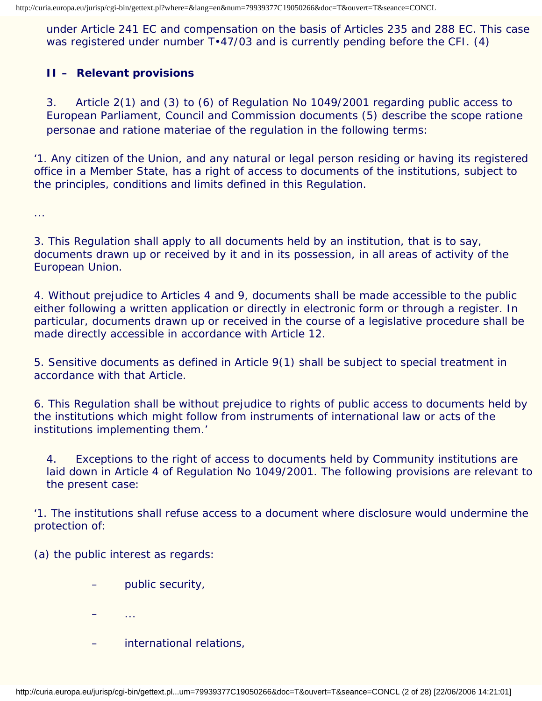under Article 241 EC and compensation on the basis of Articles 235 and 288 EC. This case was registered under number T $\cdot$ [4](#page-25-1)7/03 and is currently pending before the CFI. (4)

## <span id="page-1-0"></span>**II – Relevant provisions**

...

3. Article 2(1) and (3) to (6) of Regulation No 1049/2001 regarding public access to European Parliament, Council and Commission documents [\(5\)](#page-25-2) describe the scope *ratione personae* and *ratione materiae* of the regulation in the following terms:

<span id="page-1-1"></span>'1. Any citizen of the Union, and any natural or legal person residing or having its registered office in a Member State, has a right of access to documents of the institutions, subject to the principles, conditions and limits defined in this Regulation.

3. This Regulation shall apply to all documents held by an institution, that is to say, documents drawn up or received by it and in its possession, in all areas of activity of the European Union.

4. Without prejudice to Articles 4 and 9, documents shall be made accessible to the public either following a written application or directly in electronic form or through a register. In particular, documents drawn up or received in the course of a legislative procedure shall be made directly accessible in accordance with Article 12.

5. Sensitive documents as defined in Article 9(1) shall be subject to special treatment in accordance with that Article.

6. This Regulation shall be without prejudice to rights of public access to documents held by the institutions which might follow from instruments of international law or acts of the institutions implementing them.'

4. Exceptions to the right of access to documents held by Community institutions are laid down in Article 4 of Regulation No 1049/2001. The following provisions are relevant to the present case:

'1. The institutions shall refuse access to a document where disclosure would undermine the protection of:

(a) the public interest as regards:

- public security,
- ...
- international relations.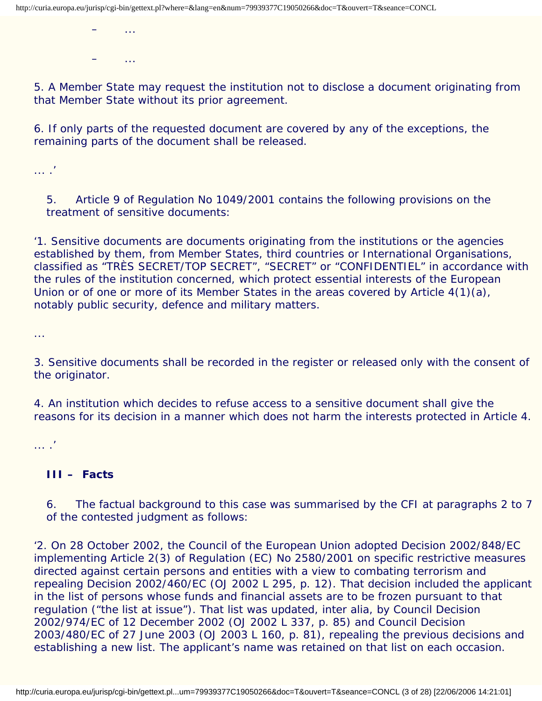– ...

– ...

5. A Member State may request the institution not to disclose a document originating from that Member State without its prior agreement.

6. If only parts of the requested document are covered by any of the exceptions, the remaining parts of the document shall be released.

... .'

5. Article 9 of Regulation No 1049/2001 contains the following provisions on the treatment of sensitive documents:

'1. Sensitive documents are documents originating from the institutions or the agencies established by them, from Member States, third countries or International Organisations, classified as "TRÈS SECRET/TOP SECRET", "SECRET" or "CONFIDENTIEL" in accordance with the rules of the institution concerned, which protect essential interests of the European Union or of one or more of its Member States in the areas covered by Article  $4(1)(a)$ , notably public security, defence and military matters.

...

3. Sensitive documents shall be recorded in the register or released only with the consent of the originator.

4. An institution which decides to refuse access to a sensitive document shall give the reasons for its decision in a manner which does not harm the interests protected in Article 4.

... .'

## **III – Facts**

6. The factual background to this case was summarised by the CFI at paragraphs 2 to 7 of the contested judgment as follows:

'2. On 28 October 2002, the Council of the European Union adopted Decision 2002/848/EC implementing Article 2(3) of Regulation (EC) No 2580/2001 on specific restrictive measures directed against certain persons and entities with a view to combating terrorism and repealing Decision 2002/460/EC (OJ 2002 L 295, p. 12). That decision included the applicant in the list of persons whose funds and financial assets are to be frozen pursuant to that regulation ("the list at issue"). That list was updated, inter alia, by Council Decision 2002/974/EC of 12 December 2002 (OJ 2002 L 337, p. 85) and Council Decision 2003/480/EC of 27 June 2003 (OJ 2003 L 160, p. 81), repealing the previous decisions and establishing a new list. The applicant's name was retained on that list on each occasion.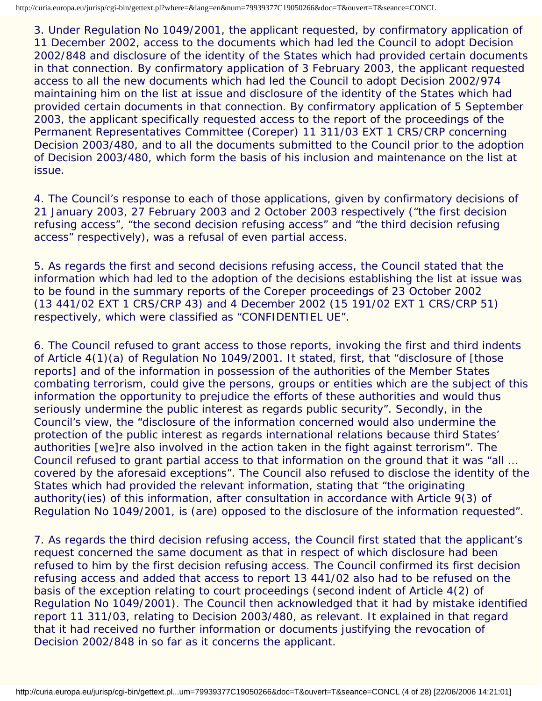3. Under Regulation No 1049/2001, the applicant requested, by confirmatory application of 11 December 2002, access to the documents which had led the Council to adopt Decision 2002/848 and disclosure of the identity of the States which had provided certain documents in that connection. By confirmatory application of 3 February 2003, the applicant requested access to all the new documents which had led the Council to adopt Decision 2002/974 maintaining him on the list at issue and disclosure of the identity of the States which had provided certain documents in that connection. By confirmatory application of 5 September 2003, the applicant specifically requested access to the report of the proceedings of the Permanent Representatives Committee (Coreper) 11 311/03 EXT 1 CRS/CRP concerning Decision 2003/480, and to all the documents submitted to the Council prior to the adoption of Decision 2003/480, which form the basis of his inclusion and maintenance on the list at issue.

4. The Council's response to each of those applications, given by confirmatory decisions of 21 January 2003, 27 February 2003 and 2 October 2003 respectively ("the first decision refusing access", "the second decision refusing access" and "the third decision refusing access" respectively), was a refusal of even partial access.

5. As regards the first and second decisions refusing access, the Council stated that the information which had led to the adoption of the decisions establishing the list at issue was to be found in the summary reports of the Coreper proceedings of 23 October 2002 (13 441/02 EXT 1 CRS/CRP 43) and 4 December 2002 (15 191/02 EXT 1 CRS/CRP 51) respectively, which were classified as "CONFIDENTIEL UE".

6. The Council refused to grant access to those reports, invoking the first and third indents of Article 4(1)(a) of Regulation No 1049/2001. It stated, first, that "disclosure of [those reports] and of the information in possession of the authorities of the Member States combating terrorism, could give the persons, groups or entities which are the subject of this information the opportunity to prejudice the efforts of these authorities and would thus seriously undermine the public interest as regards public security". Secondly, in the Council's view, the "disclosure of the information concerned would also undermine the protection of the public interest as regards international relations because third States' authorities [we]re also involved in the action taken in the fight against terrorism". The Council refused to grant partial access to that information on the ground that it was "all … covered by the aforesaid exceptions". The Council also refused to disclose the identity of the States which had provided the relevant information, stating that "the originating authority(ies) of this information, after consultation in accordance with Article 9(3) of Regulation No 1049/2001, is (are) opposed to the disclosure of the information requested".

7. As regards the third decision refusing access, the Council first stated that the applicant's request concerned the same document as that in respect of which disclosure had been refused to him by the first decision refusing access. The Council confirmed its first decision refusing access and added that access to report 13 441/02 also had to be refused on the basis of the exception relating to court proceedings (second indent of Article 4(2) of Regulation No 1049/2001). The Council then acknowledged that it had by mistake identified report 11 311/03, relating to Decision 2003/480, as relevant. It explained in that regard that it had received no further information or documents justifying the revocation of Decision 2002/848 in so far as it concerns the applicant.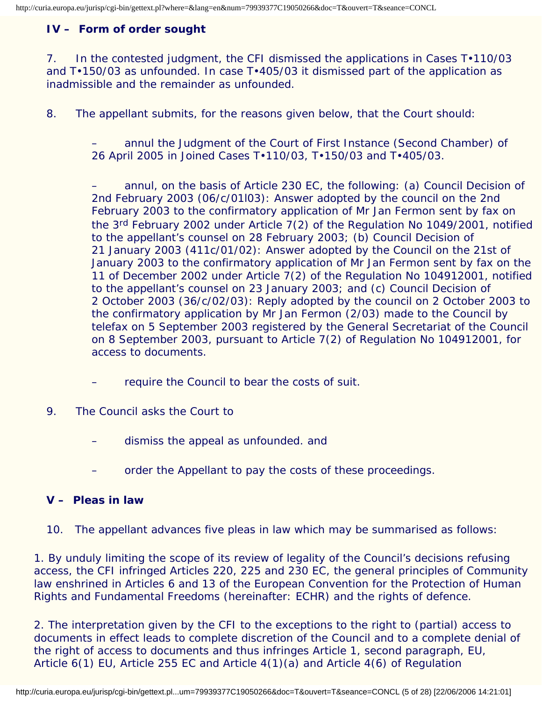# **IV – Form of order sought**

7. In the contested judgment, the CFI dismissed the applications in Cases T•110/03 and T•150/03 as unfounded. In case T•405/03 it dismissed part of the application as inadmissible and the remainder as unfounded.

8. The appellant submits, for the reasons given below, that the Court should:

– annul the Judgment of the Court of First Instance (Second Chamber) of 26 April 2005 in Joined Cases T•110/03, T•150/03 and T•405/03.

– annul, on the basis of Article 230 EC, the following: (a) Council Decision of 2nd February 2003 (06/c/01l03): Answer adopted by the council on the 2nd February 2003 to the confirmatory application of Mr Jan Fermon sent by fax on the 3rd February 2002 under Article 7(2) of the Regulation No 1049/2001, notified to the appellant's counsel on 28 February 2003; (b) Council Decision of 21 January 2003 (411c/01/02): Answer adopted by the Council on the 21st of January 2003 to the confirmatory application of Mr Jan Fermon sent by fax on the 11 of December 2002 under Article 7(2) of the Regulation No 104912001, notified to the appellant's counsel on 23 January 2003; and (c) Council Decision of 2 October 2003 (36/c/02/03): Reply adopted by the council on 2 October 2003 to the confirmatory application by Mr Jan Fermon (2/03) made to the Council by telefax on 5 September 2003 registered by the General Secretariat of the Council on 8 September 2003, pursuant to Article 7(2) of Regulation No 104912001, for access to documents.

- require the Council to bear the costs of suit.
- 9. The Council asks the Court to
	- dismiss the appeal as unfounded. and
	- order the Appellant to pay the costs of these proceedings.

## **V – Pleas in law**

10. The appellant advances five pleas in law which may be summarised as follows:

1. By unduly limiting the scope of its review of legality of the Council's decisions refusing access, the CFI infringed Articles 220, 225 and 230 EC, the general principles of Community law enshrined in Articles 6 and 13 of the European Convention for the Protection of Human Rights and Fundamental Freedoms (hereinafter: ECHR) and the rights of defence.

2. The interpretation given by the CFI to the exceptions to the right to (partial) access to documents in effect leads to complete discretion of the Council and to a complete denial of the right of access to documents and thus infringes Article 1, second paragraph, EU, Article 6(1) EU, Article 255 EC and Article 4(1)(a) and Article 4(6) of Regulation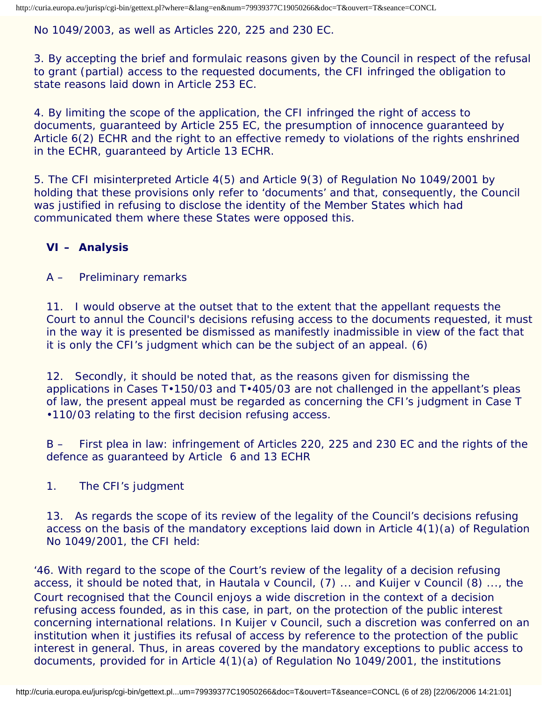No 1049/2003, as well as Articles 220, 225 and 230 EC.

3. By accepting the brief and formulaic reasons given by the Council in respect of the refusal to grant (partial) access to the requested documents, the CFI infringed the obligation to state reasons laid down in Article 253 EC.

4. By limiting the scope of the application, the CFI infringed the right of access to documents, guaranteed by Article 255 EC, the presumption of innocence guaranteed by Article 6(2) ECHR and the right to an effective remedy to violations of the rights enshrined in the ECHR, guaranteed by Article 13 ECHR.

5. The CFI misinterpreted Article 4(5) and Article 9(3) of Regulation No 1049/2001 by holding that these provisions only refer to 'documents' and that, consequently, the Council was justified in refusing to disclose the identity of the Member States which had communicated them where these States were opposed this.

## **VI – Analysis**

## A – *Preliminary remarks*

11. I would observe at the outset that to the extent that the appellant requests the Court to annul the Council's decisions refusing access to the documents requested, it must in the way it is presented be dismissed as manifestly inadmissible in view of the fact that it is only the CFI's judgment which can be the subject of an appeal. ([6](#page-25-3))

<span id="page-5-0"></span>12. Secondly, it should be noted that, as the reasons given for dismissing the applications in Cases T•150/03 and T•405/03 are not challenged in the appellant's pleas of law, the present appeal must be regarded as concerning the CFI's judgment in Case T •110/03 relating to the first decision refusing access.

B – *First plea in law: infringement of Articles 220, 225 and 230 EC and the rights of the defence as guaranteed by Article 6 and 13 ECHR*

1. The CFI's judgment

13. As regards the scope of its review of the legality of the Council's decisions refusing access on the basis of the mandatory exceptions laid down in Article 4(1)(a) of Regulation No 1049/2001, the CFI held:

<span id="page-5-1"></span>'46. With regard to the scope of the Court's review of the legality of a decision refusing access, it should be noted that, in *Hautala* v *Council*, [\(7\)](#page-25-4) ... and *Kuijer* v *Council* ([8](#page-25-5)) ..., the Court recognised that the Council enjoys a wide discretion in the context of a decision refusing access founded, as in this case, in part, on the protection of the public interest concerning international relations. In *Kuijer* v *Council*, such a discretion was conferred on an institution when it justifies its refusal of access by reference to the protection of the public interest in general. Thus, in areas covered by the mandatory exceptions to public access to documents, provided for in Article  $4(1)(a)$  of Regulation No 1049/2001, the institutions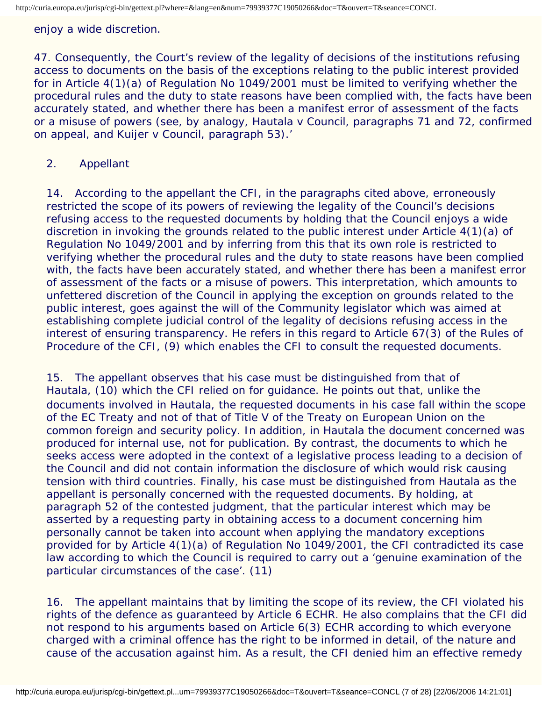#### enjoy a wide discretion.

47. Consequently, the Court's review of the legality of decisions of the institutions refusing access to documents on the basis of the exceptions relating to the public interest provided for in Article 4(1)(a) of Regulation No 1049/2001 must be limited to verifying whether the procedural rules and the duty to state reasons have been complied with, the facts have been accurately stated, and whether there has been a manifest error of assessment of the facts or a misuse of powers (see, by analogy, *Hautala* v *Council*, paragraphs 71 and 72, confirmed on appeal, and *Kuijer* v *Council*, paragraph 53).'

#### 2. Appellant

14. According to the appellant the CFI, in the paragraphs cited above, erroneously restricted the scope of its powers of reviewing the legality of the Council's decisions refusing access to the requested documents by holding that the Council enjoys a wide discretion in invoking the grounds related to the public interest under Article 4(1)(a) of Regulation No 1049/2001 and by inferring from this that its own role is restricted to verifying whether the procedural rules and the duty to state reasons have been complied with, the facts have been accurately stated, and whether there has been a manifest error of assessment of the facts or a misuse of powers. This interpretation, which amounts to unfettered discretion of the Council in applying the exception on grounds related to the public interest, goes against the will of the Community legislator which was aimed at establishing complete judicial control of the legality of decisions refusing access in the interest of ensuring transparency. He refers in this regard to Article 67(3) of the Rules of Procedure of the CFI, ([9\)](#page-25-6) which enables the CFI to consult the requested documents.

<span id="page-6-1"></span><span id="page-6-0"></span>15. The appellant observes that his case must be distinguished from that of *Hautala*, ([10](#page-25-7)) which the CFI relied on for guidance. He points out that, unlike the documents involved in *Hautala*, the requested documents in his case fall within the scope of the EC Treaty and not of that of Title V of the Treaty on European Union on the common foreign and security policy. In addition, in *Hautala* the document concerned was produced for internal use, not for publication. By contrast, the documents to which he seeks access were adopted in the context of a legislative process leading to a decision of the Council and did not contain information the disclosure of which would risk causing tension with third countries. Finally, his case must be distinguished from *Hautala* as the appellant is personally concerned with the requested documents. By holding, at paragraph 52 of the contested judgment, that the particular interest which may be asserted by a requesting party in obtaining access to a document concerning him personally cannot be taken into account when applying the mandatory exceptions provided for by Article 4(1)(a) of Regulation No 1049/2001, the CFI contradicted its case law according to which the Council is required to carry out a 'genuine examination of the particular circumstances of the case'. [\(11\)](#page-25-8)

<span id="page-6-2"></span>16. The appellant maintains that by limiting the scope of its review, the CFI violated his rights of the defence as guaranteed by Article 6 ECHR. He also complains that the CFI did not respond to his arguments based on Article 6(3) ECHR according to which everyone charged with a criminal offence has the right to be informed in detail, of the nature and cause of the accusation against him. As a result, the CFI denied him an effective remedy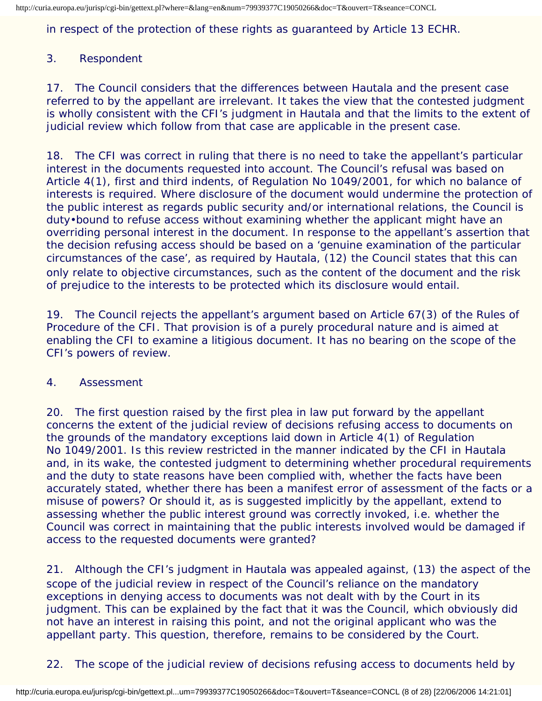http://curia.europa.eu/jurisp/cgi-bin/gettext.pl?where=&lang=en&num=79939377C19050266&doc=T&ouvert=T&seance=CONCL

## in respect of the protection of these rights as guaranteed by Article 13 ECHR.

## 3. Respondent

17. The Council considers that the differences between *Hautala* and the present case referred to by the appellant are irrelevant. It takes the view that the contested judgment is wholly consistent with the CFI's judgment in *Hautala* and that the limits to the extent of judicial review which follow from that case are applicable in the present case.

18. The CFI was correct in ruling that there is no need to take the appellant's particular interest in the documents requested into account. The Council's refusal was based on Article 4(1), first and third indents, of Regulation No 1049/2001, for which no balance of interests is required. Where disclosure of the document would undermine the protection of the public interest as regards public security and/or international relations, the Council is duty•bound to refuse access without examining whether the applicant might have an overriding personal interest in the document. In response to the appellant's assertion that the decision refusing access should be based on a 'genuine examination of the particular circumstances of the case', as required by *Hautala*, ([12](#page-26-0)) the Council states that this can only relate to objective circumstances, such as the content of the document and the risk of prejudice to the interests to be protected which its disclosure would entail.

<span id="page-7-0"></span>19. The Council rejects the appellant's argument based on Article 67(3) of the Rules of Procedure of the CFI. That provision is of a purely procedural nature and is aimed at enabling the CFI to examine a litigious document. It has no bearing on the scope of the CFI's powers of review.

#### 4. Assessment

20. The first question raised by the first plea in law put forward by the appellant concerns the extent of the judicial review of decisions refusing access to documents on the grounds of the mandatory exceptions laid down in Article 4(1) of Regulation No 1049/2001. Is this review restricted in the manner indicated by the CFI in *Hautala* and, in its wake, the contested judgment to determining whether procedural requirements and the duty to state reasons have been complied with, whether the facts have been accurately stated, whether there has been a manifest error of assessment of the facts or a misuse of powers? Or should it, as is suggested implicitly by the appellant, extend to assessing whether the public interest ground was correctly invoked, i.e. whether the Council was correct in maintaining that the public interests involved would be damaged if access to the requested documents were granted?

<span id="page-7-1"></span>21. Although the CFI's judgment in *Hautala* was appealed against, [\(13](#page-26-1)) the aspect of the scope of the judicial review in respect of the Council's reliance on the mandatory exceptions in denying access to documents was not dealt with by the Court in its judgment. This can be explained by the fact that it was the Council, which obviously did not have an interest in raising this point, and not the original applicant who was the appellant party. This question, therefore, remains to be considered by the Court.

22. The scope of the judicial review of decisions refusing access to documents held by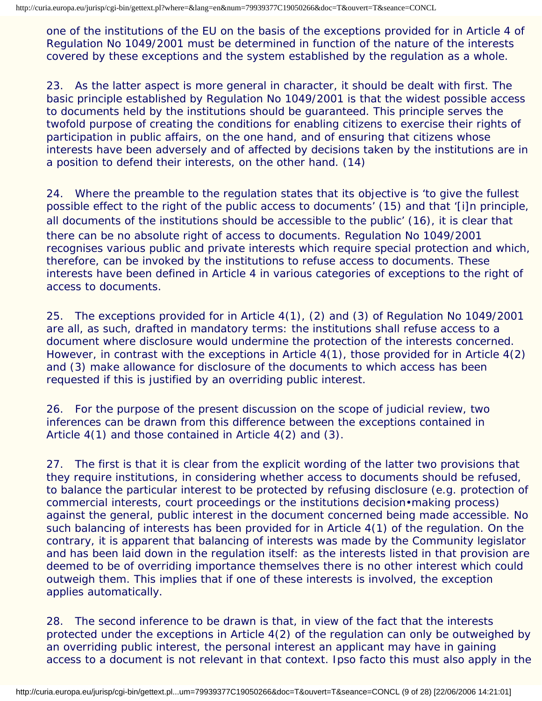one of the institutions of the EU on the basis of the exceptions provided for in Article 4 of Regulation No 1049/2001 must be determined in function of the nature of the interests covered by these exceptions and the system established by the regulation as a whole.

23. As the latter aspect is more general in character, it should be dealt with first. The basic principle established by Regulation No 1049/2001 is that the widest possible access to documents held by the institutions should be guaranteed. This principle serves the twofold purpose of creating the conditions for enabling citizens to exercise their rights of participation in public affairs, on the one hand, and of ensuring that citizens whose interests have been adversely and of affected by decisions taken by the institutions are in a position to defend their interests, on the other hand. ([14\)](#page-26-2)

<span id="page-8-2"></span><span id="page-8-1"></span><span id="page-8-0"></span>24. Where the preamble to the regulation states that its objective is 'to give the fullest *possible* effect to the right of the public access to documents' [\(15\)](#page-26-3) and that '[*i*]*n principle*, all documents of the institutions should be accessible to the public' ([16\)](#page-26-4), it is clear that there can be no absolute right of access to documents. Regulation No 1049/2001 recognises various public and private interests which require special protection and which, therefore, can be invoked by the institutions to refuse access to documents. These interests have been defined in Article 4 in various categories of exceptions to the right of access to documents.

25. The exceptions provided for in Article 4(1), (2) and (3) of Regulation No 1049/2001 are all, as such, drafted in mandatory terms: the institutions *shall* refuse access to a document where disclosure would undermine the protection of the interests concerned. However, in contrast with the exceptions in Article 4(1), those provided for in Article 4(2) and (3) make allowance for disclosure of the documents to which access has been requested if this is justified by an overriding public interest.

26. For the purpose of the present discussion on the scope of judicial review, two inferences can be drawn from this difference between the exceptions contained in Article 4(1) and those contained in Article 4(2) and (3).

27. The first is that it is clear from the explicit wording of the latter two provisions that they require institutions, in considering whether access to documents should be refused, to balance the particular interest to be protected by refusing disclosure (e.g. protection of commercial interests, court proceedings or the institutions decision•making process) against the general, public interest in the document concerned being made accessible. No such balancing of interests has been provided for in Article 4(1) of the regulation. On the contrary, it is apparent that balancing of interests was made by the Community legislator and has been laid down in the regulation itself: as the interests listed in that provision are deemed to be of overriding importance themselves there is no other interest which could outweigh them. This implies that if one of these interests is involved, the exception applies automatically.

28. The second inference to be drawn is that, in view of the fact that the interests protected under the exceptions in Article 4(2) of the regulation can only be outweighed by an overriding public interest, the personal interest an applicant may have in gaining access to a document is not relevant in that context. *Ipso facto* this must also apply in the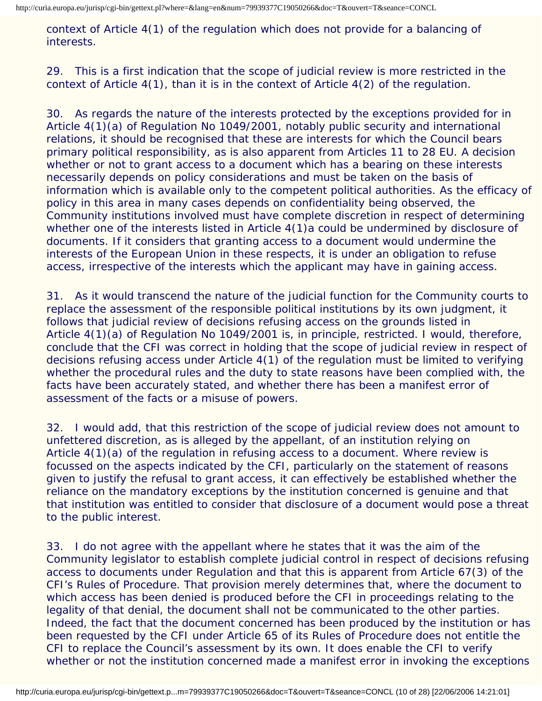context of Article 4(1) of the regulation which does not provide for a balancing of interests.

29. This is a first indication that the scope of judicial review is more restricted in the context of Article 4(1), than it is in the context of Article 4(2) of the regulation.

30. As regards the nature of the interests protected by the exceptions provided for in Article 4(1)(a) of Regulation No 1049/2001, notably public security and international relations, it should be recognised that these are interests for which the Council bears primary political responsibility, as is also apparent from Articles 11 to 28 EU. A decision whether or not to grant access to a document which has a bearing on these interests necessarily depends on policy considerations and must be taken on the basis of information which is available only to the competent political authorities. As the efficacy of policy in this area in many cases depends on confidentiality being observed, the Community institutions involved must have complete discretion in respect of determining whether one of the interests listed in Article 4(1)a could be undermined by disclosure of documents. If it considers that granting access to a document would undermine the interests of the European Union in these respects, it is under an obligation to refuse access, irrespective of the interests which the applicant may have in gaining access.

31. As it would transcend the nature of the judicial function for the Community courts to replace the assessment of the responsible political institutions by its own judgment, it follows that judicial review of decisions refusing access on the grounds listed in Article 4(1)(a) of Regulation No 1049/2001 is, in principle, restricted. I would, therefore, conclude that the CFI was correct in holding that the scope of judicial review in respect of decisions refusing access under Article 4(1) of the regulation must be limited to verifying whether the procedural rules and the duty to state reasons have been complied with, the facts have been accurately stated, and whether there has been a manifest error of assessment of the facts or a misuse of powers.

32. I would add, that this restriction of the scope of judicial review does not amount to unfettered discretion, as is alleged by the appellant, of an institution relying on Article  $4(1)(a)$  of the regulation in refusing access to a document. Where review is focussed on the aspects indicated by the CFI, particularly on the statement of reasons given to justify the refusal to grant access, it can effectively be established whether the reliance on the mandatory exceptions by the institution concerned is genuine and that that institution was entitled to consider that disclosure of a document would pose a threat to the public interest.

33. I do not agree with the appellant where he states that it was the aim of the Community legislator to establish complete judicial control in respect of decisions refusing access to documents under Regulation and that this is apparent from Article 67(3) of the CFI's Rules of Procedure. That provision merely determines that, where the document to which access has been denied is produced before the CFI in proceedings relating to the legality of that denial, the document shall not be communicated to the other parties. Indeed, the fact that the document concerned has been produced by the institution or has been requested by the CFI under Article 65 of its Rules of Procedure does not entitle the CFI to replace the Council's assessment by its own. It does enable the CFI to verify whether or not the institution concerned made a manifest error in invoking the exceptions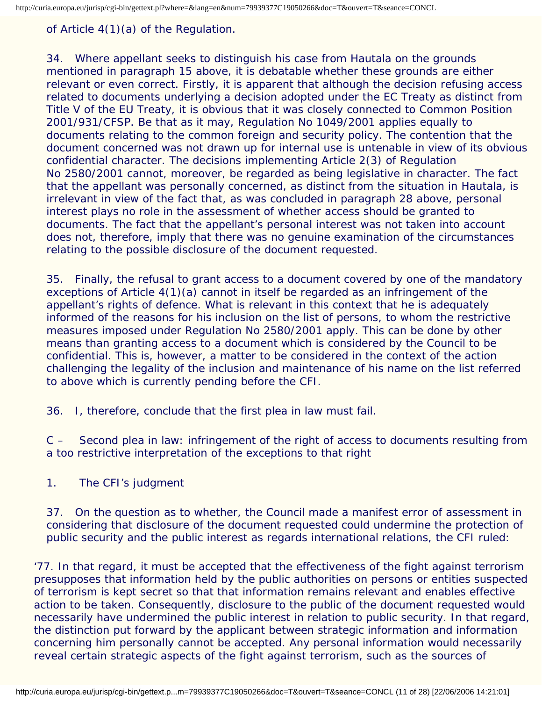## of Article  $4(1)(a)$  of the Regulation.

34. Where appellant seeks to distinguish his case from *Hautala* on the grounds mentioned in paragraph 15 above, it is debatable whether these grounds are either relevant or even correct. Firstly, it is apparent that although the decision refusing access related to documents underlying a decision adopted under the EC Treaty as distinct from Title V of the EU Treaty, it is obvious that it was closely connected to Common Position 2001/931/CFSP. Be that as it may, Regulation No 1049/2001 applies equally to documents relating to the common foreign and security policy. The contention that the document concerned was not drawn up for internal use is untenable in view of its obvious confidential character. The decisions implementing Article 2(3) of Regulation No 2580/2001 cannot, moreover, be regarded as being legislative in character. The fact that the appellant was personally concerned, as distinct from the situation in *Hautala*, is irrelevant in view of the fact that, as was concluded in paragraph 28 above, personal interest plays no role in the assessment of whether access should be granted to documents. The fact that the appellant's personal interest was not taken into account does not, therefore, imply that there was no genuine examination of the circumstances relating to the possible disclosure of the document requested.

35. Finally, the refusal to grant access to a document covered by one of the mandatory exceptions of Article  $4(1)(a)$  cannot in itself be regarded as an infringement of the appellant's rights of defence. What is relevant in this context that he is adequately informed of the reasons for his inclusion on the list of persons, to whom the restrictive measures imposed under Regulation No 2580/2001 apply. This can be done by other means than granting access to a document which is considered by the Council to be confidential. This is, however, a matter to be considered in the context of the action challenging the legality of the inclusion and maintenance of his name on the list referred to above which is currently pending before the CFI.

36. I, therefore, conclude that the first plea in law must fail.

C – *Second plea in law: infringement of the right of access to documents resulting from a too restrictive interpretation of the exceptions to that right*

1. The CFI's judgment

37. On the question as to whether, the Council made a manifest error of assessment in considering that disclosure of the document requested could undermine the protection of public security and the public interest as regards international relations, the CFI ruled:

'77. In that regard, it must be accepted that the effectiveness of the fight against terrorism presupposes that information held by the public authorities on persons or entities suspected of terrorism is kept secret so that that information remains relevant and enables effective action to be taken. Consequently, disclosure to the public of the document requested would necessarily have undermined the public interest in relation to public security. In that regard, the distinction put forward by the applicant between strategic information and information concerning him personally cannot be accepted. Any personal information would necessarily reveal certain strategic aspects of the fight against terrorism, such as the sources of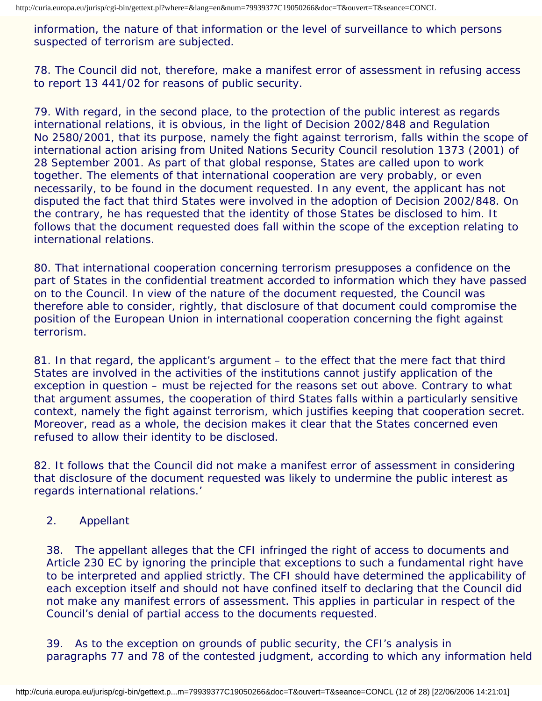information, the nature of that information or the level of surveillance to which persons suspected of terrorism are subjected.

78. The Council did not, therefore, make a manifest error of assessment in refusing access to report 13 441/02 for reasons of public security.

79. With regard, in the second place, to the protection of the public interest as regards international relations, it is obvious, in the light of Decision 2002/848 and Regulation No 2580/2001, that its purpose, namely the fight against terrorism, falls within the scope of international action arising from United Nations Security Council resolution 1373 (2001) of 28 September 2001. As part of that global response, States are called upon to work together. The elements of that international cooperation are very probably, or even necessarily, to be found in the document requested. In any event, the applicant has not disputed the fact that third States were involved in the adoption of Decision 2002/848. On the contrary, he has requested that the identity of those States be disclosed to him. It follows that the document requested does fall within the scope of the exception relating to international relations.

80. That international cooperation concerning terrorism presupposes a confidence on the part of States in the confidential treatment accorded to information which they have passed on to the Council. In view of the nature of the document requested, the Council was therefore able to consider, rightly, that disclosure of that document could compromise the position of the European Union in international cooperation concerning the fight against terrorism.

81. In that regard, the applicant's argument – to the effect that the mere fact that third States are involved in the activities of the institutions cannot justify application of the exception in question – must be rejected for the reasons set out above. Contrary to what that argument assumes, the cooperation of third States falls within a particularly sensitive context, namely the fight against terrorism, which justifies keeping that cooperation secret. Moreover, read as a whole, the decision makes it clear that the States concerned even refused to allow their identity to be disclosed.

82. It follows that the Council did not make a manifest error of assessment in considering that disclosure of the document requested was likely to undermine the public interest as regards international relations.'

#### 2. Appellant

38. The appellant alleges that the CFI infringed the right of access to documents and Article 230 EC by ignoring the principle that exceptions to such a fundamental right have to be interpreted and applied strictly. The CFI should have determined the applicability of each exception itself and should not have confined itself to declaring that the Council did not make any manifest errors of assessment. This applies in particular in respect of the Council's denial of partial access to the documents requested.

39. As to the exception on grounds of public security, the CFI's analysis in paragraphs 77 and 78 of the contested judgment, according to which any information held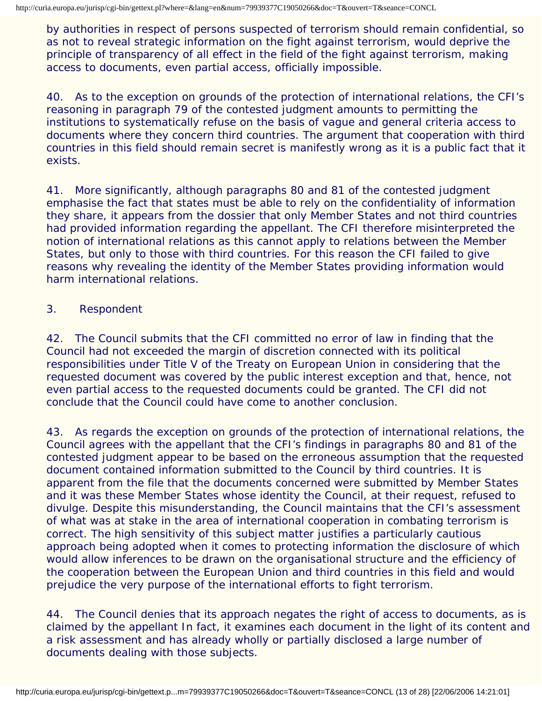by authorities in respect of persons suspected of terrorism should remain confidential, so as not to reveal strategic information on the fight against terrorism, would deprive the principle of transparency of all effect in the field of the fight against terrorism, making access to documents, even partial access, officially impossible.

40. As to the exception on grounds of the protection of international relations, the CFI's reasoning in paragraph 79 of the contested judgment amounts to permitting the institutions to systematically refuse on the basis of vague and general criteria access to documents where they concern third countries. The argument that cooperation with third countries in this field should remain secret is manifestly wrong as it is a public fact that it exists.

41. More significantly, although paragraphs 80 and 81 of the contested judgment emphasise the fact that states must be able to rely on the confidentiality of information they share, it appears from the dossier that only Member States and not third countries had provided information regarding the appellant. The CFI therefore misinterpreted the notion of international relations as this cannot apply to relations between the Member States, but only to those with third countries. For this reason the CFI failed to give reasons why revealing the identity of the Member States providing information would harm international relations.

## 3. Respondent

42. The Council submits that the CFI committed no error of law in finding that the Council had not exceeded the margin of discretion connected with its political responsibilities under Title V of the Treaty on European Union in considering that the requested document was covered by the public interest exception and that, hence, not even partial access to the requested documents could be granted. The CFI did not conclude that the Council could have come to another conclusion.

43. As regards the exception on grounds of the protection of international relations, the Council agrees with the appellant that the CFI's findings in paragraphs 80 and 81 of the contested judgment appear to be based on the erroneous assumption that the requested document contained information submitted to the Council by third countries. It is apparent from the file that the documents concerned were submitted by Member States and it was these Member States whose identity the Council, at their request, refused to divulge. Despite this misunderstanding, the Council maintains that the CFI's assessment of what was at stake in the area of international cooperation in combating terrorism is correct. The high sensitivity of this subject matter justifies a particularly cautious approach being adopted when it comes to protecting information the disclosure of which would allow inferences to be drawn on the organisational structure and the efficiency of the cooperation between the European Union and third countries in this field and would prejudice the very purpose of the international efforts to fight terrorism.

44. The Council denies that its approach negates the right of access to documents, as is claimed by the appellant In fact, it examines each document in the light of its content and a risk assessment and has already wholly or partially disclosed a large number of documents dealing with those subjects.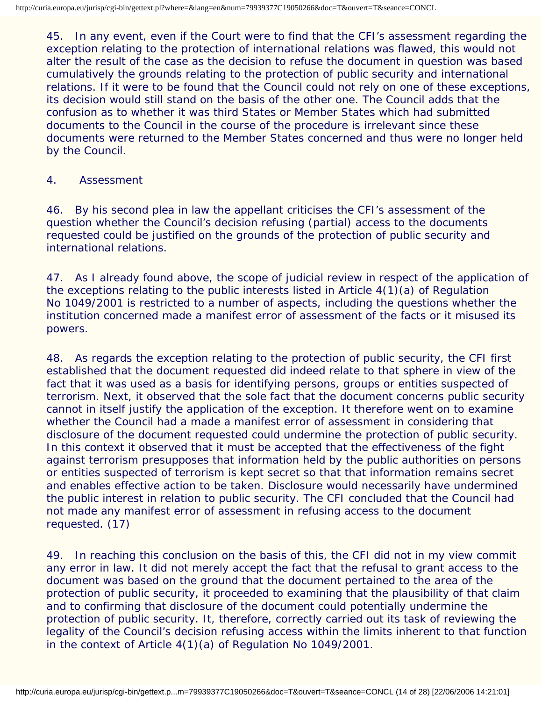45. In any event, even if the Court were to find that the CFI's assessment regarding the exception relating to the protection of international relations was flawed, this would not alter the result of the case as the decision to refuse the document in question was based cumulatively the grounds relating to the protection of public security and international relations. If it were to be found that the Council could not rely on one of these exceptions, its decision would still stand on the basis of the other one. The Council adds that the confusion as to whether it was third States or Member States which had submitted documents to the Council in the course of the procedure is irrelevant since these documents were returned to the Member States concerned and thus were no longer held by the Council.

#### 4. Assessment

46. By his second plea in law the appellant criticises the CFI's assessment of the question whether the Council's decision refusing (partial) access to the documents requested could be justified on the grounds of the protection of public security and international relations.

47. As I already found above, the scope of judicial review in respect of the application of the exceptions relating to the public interests listed in Article  $4(1)(a)$  of Regulation No 1049/2001 is restricted to a number of aspects, including the questions whether the institution concerned made a manifest error of assessment of the facts or it misused its powers.

48. As regards the exception relating to the protection of public security, the CFI first established that the document requested did indeed relate to that sphere in view of the fact that it was used as a basis for identifying persons, groups or entities suspected of terrorism. Next, it observed that the sole fact that the document concerns public security cannot in itself justify the application of the exception. It therefore went on to examine whether the Council had a made a manifest error of assessment in considering that disclosure of the document requested could undermine the protection of public security. In this context it observed that it must be accepted that the effectiveness of the fight against terrorism presupposes that information held by the public authorities on persons or entities suspected of terrorism is kept secret so that that information remains secret and enables effective action to be taken. Disclosure would necessarily have undermined the public interest in relation to public security. The CFI concluded that the Council had not made any manifest error of assessment in refusing access to the document requested. ([17\)](#page-26-5)

<span id="page-13-0"></span>49. In reaching this conclusion on the basis of this, the CFI did not in my view commit any error in law. It did not merely accept the fact that the refusal to grant access to the document was based on the ground that the document pertained to the area of the protection of public security, it proceeded to examining that the plausibility of that claim and to confirming that disclosure of the document could potentially undermine the protection of public security. It, therefore, correctly carried out its task of reviewing the legality of the Council's decision refusing access within the limits inherent to that function in the context of Article 4(1)(a) of Regulation No 1049/2001.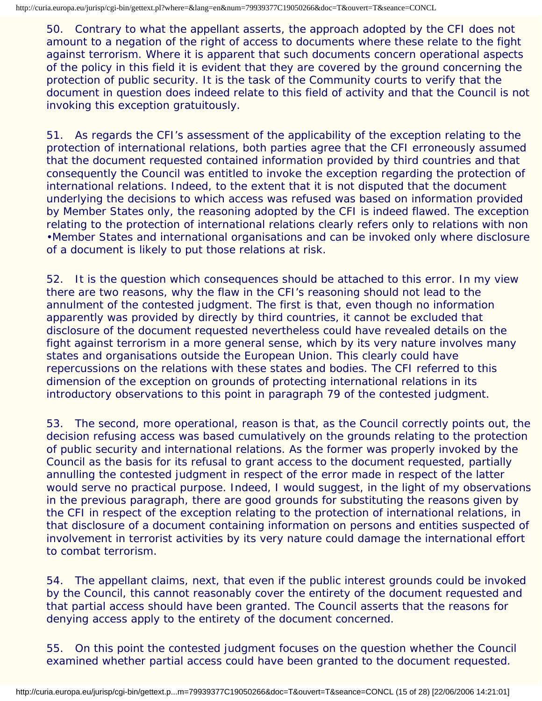50. Contrary to what the appellant asserts, the approach adopted by the CFI does not amount to a negation of the right of access to documents where these relate to the fight against terrorism. Where it is apparent that such documents concern operational aspects of the policy in this field it is evident that they are covered by the ground concerning the protection of public security. It is the task of the Community courts to verify that the document in question does indeed relate to this field of activity and that the Council is not invoking this exception gratuitously.

51. As regards the CFI's assessment of the applicability of the exception relating to the protection of international relations, both parties agree that the CFI erroneously assumed that the document requested contained information provided by third countries and that consequently the Council was entitled to invoke the exception regarding the protection of international relations. Indeed, to the extent that it is not disputed that the document underlying the decisions to which access was refused was based on information provided by Member States only, the reasoning adopted by the CFI is indeed flawed. The exception relating to the protection of international relations clearly refers only to relations with non •Member States and international organisations and can be invoked only where disclosure of a document is likely to put those relations at risk.

52. It is the question which consequences should be attached to this error. In my view there are two reasons, why the flaw in the CFI's reasoning should not lead to the annulment of the contested judgment. The first is that, even though no information apparently was provided by directly by third countries, it cannot be excluded that disclosure of the document requested nevertheless could have revealed details on the fight against terrorism in a more general sense, which by its very nature involves many states and organisations outside the European Union. This clearly could have repercussions on the relations with these states and bodies. The CFI referred to this dimension of the exception on grounds of protecting international relations in its introductory observations to this point in paragraph 79 of the contested judgment.

53. The second, more operational, reason is that, as the Council correctly points out, the decision refusing access was based cumulatively on the grounds relating to the protection of public security and international relations. As the former was properly invoked by the Council as the basis for its refusal to grant access to the document requested, partially annulling the contested judgment in respect of the error made in respect of the latter would serve no practical purpose. Indeed, I would suggest, in the light of my observations in the previous paragraph, there are good grounds for substituting the reasons given by the CFI in respect of the exception relating to the protection of international relations, in that disclosure of a document containing information on persons and entities suspected of involvement in terrorist activities by its very nature could damage the international effort to combat terrorism.

54. The appellant claims, next, that even if the public interest grounds could be invoked by the Council, this cannot reasonably cover the entirety of the document requested and that partial access should have been granted. The Council asserts that the reasons for denying access apply to the entirety of the document concerned.

55. On this point the contested judgment focuses on the question whether the Council examined whether partial access could have been granted to the document requested.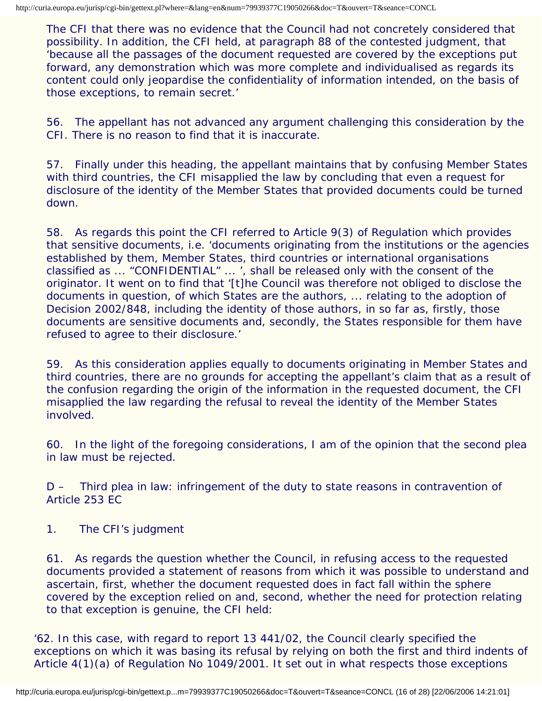The CFI that there was no evidence that the Council had not concretely considered that possibility. In addition, the CFI held, at paragraph 88 of the contested judgment, that 'because all the passages of the document requested are covered by the exceptions put forward, any demonstration which was more complete and individualised as regards its content could only jeopardise the confidentiality of information intended, on the basis of those exceptions, to remain secret.'

56. The appellant has not advanced any argument challenging this consideration by the CFI. There is no reason to find that it is inaccurate.

57. Finally under this heading, the appellant maintains that by confusing Member States with third countries, the CFI misapplied the law by concluding that even a request for disclosure of the identity of the Member States that provided documents could be turned down.

58. As regards this point the CFI referred to Article 9(3) of Regulation which provides that sensitive documents, i.e. 'documents originating from the institutions or the agencies established by them, Member States, third countries or international organisations classified as ... "CONFIDENTIAL" ... ', shall be released only with the consent of the originator. It went on to find that '[t]he Council was therefore not obliged to disclose the documents in question, of which States are the authors, ... relating to the adoption of Decision 2002/848, including the identity of those authors, in so far as, firstly, those documents are sensitive documents and, secondly, the States responsible for them have refused to agree to their disclosure.'

59. As this consideration applies equally to documents originating in Member States and third countries, there are no grounds for accepting the appellant's claim that as a result of the confusion regarding the origin of the information in the requested document, the CFI misapplied the law regarding the refusal to reveal the identity of the Member States involved.

60. In the light of the foregoing considerations, I am of the opinion that the second plea in law must be rejected.

D – *Third plea in law: infringement of the duty to state reasons in contravention of Article 253 EC*

1. The CFI's judgment

61. As regards the question whether the Council, in refusing access to the requested documents provided a statement of reasons from which it was possible to understand and ascertain, first, whether the document requested does in fact fall within the sphere covered by the exception relied on and, second, whether the need for protection relating to that exception is genuine, the CFI held:

'62. In this case, with regard to report 13 441/02, the Council clearly specified the exceptions on which it was basing its refusal by relying on both the first and third indents of Article 4(1)(a) of Regulation No 1049/2001. It set out in what respects those exceptions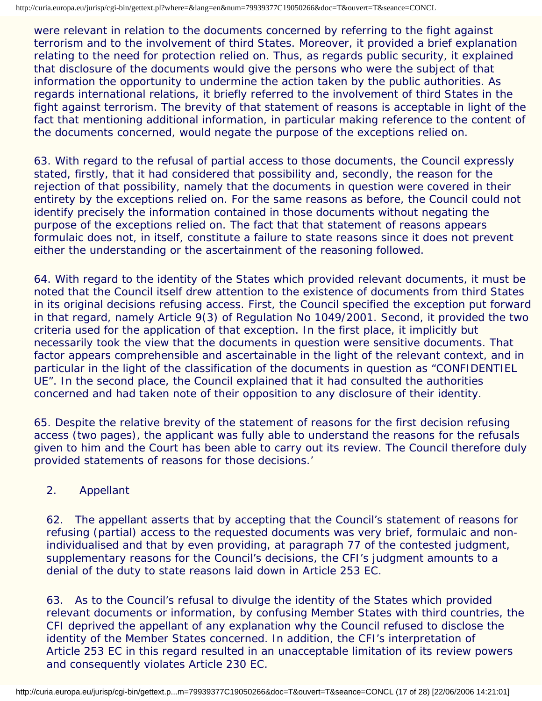were relevant in relation to the documents concerned by referring to the fight against terrorism and to the involvement of third States. Moreover, it provided a brief explanation relating to the need for protection relied on. Thus, as regards public security, it explained that disclosure of the documents would give the persons who were the subject of that information the opportunity to undermine the action taken by the public authorities. As regards international relations, it briefly referred to the involvement of third States in the fight against terrorism. The brevity of that statement of reasons is acceptable in light of the fact that mentioning additional information, in particular making reference to the content of the documents concerned, would negate the purpose of the exceptions relied on.

63. With regard to the refusal of partial access to those documents, the Council expressly stated, firstly, that it had considered that possibility and, secondly, the reason for the rejection of that possibility, namely that the documents in question were covered in their entirety by the exceptions relied on. For the same reasons as before, the Council could not identify precisely the information contained in those documents without negating the purpose of the exceptions relied on. The fact that that statement of reasons appears formulaic does not, in itself, constitute a failure to state reasons since it does not prevent either the understanding or the ascertainment of the reasoning followed.

64. With regard to the identity of the States which provided relevant documents, it must be noted that the Council itself drew attention to the existence of documents from third States in its original decisions refusing access. First, the Council specified the exception put forward in that regard, namely Article 9(3) of Regulation No 1049/2001. Second, it provided the two criteria used for the application of that exception. In the first place, it implicitly but necessarily took the view that the documents in question were sensitive documents. That factor appears comprehensible and ascertainable in the light of the relevant context, and in particular in the light of the classification of the documents in question as "CONFIDENTIEL UE". In the second place, the Council explained that it had consulted the authorities concerned and had taken note of their opposition to any disclosure of their identity.

65. Despite the relative brevity of the statement of reasons for the first decision refusing access (two pages), the applicant was fully able to understand the reasons for the refusals given to him and the Court has been able to carry out its review. The Council therefore duly provided statements of reasons for those decisions.'

## 2. Appellant

62. The appellant asserts that by accepting that the Council's statement of reasons for refusing (partial) access to the requested documents was very brief, formulaic and nonindividualised and that by even providing, at paragraph 77 of the contested judgment, supplementary reasons for the Council's decisions, the CFI's judgment amounts to a denial of the duty to state reasons laid down in Article 253 EC.

63. As to the Council's refusal to divulge the identity of the States which provided relevant documents or information, by confusing Member States with third countries, the CFI deprived the appellant of any explanation why the Council refused to disclose the identity of the Member States concerned. In addition, the CFI's interpretation of Article 253 EC in this regard resulted in an unacceptable limitation of its review powers and consequently violates Article 230 EC.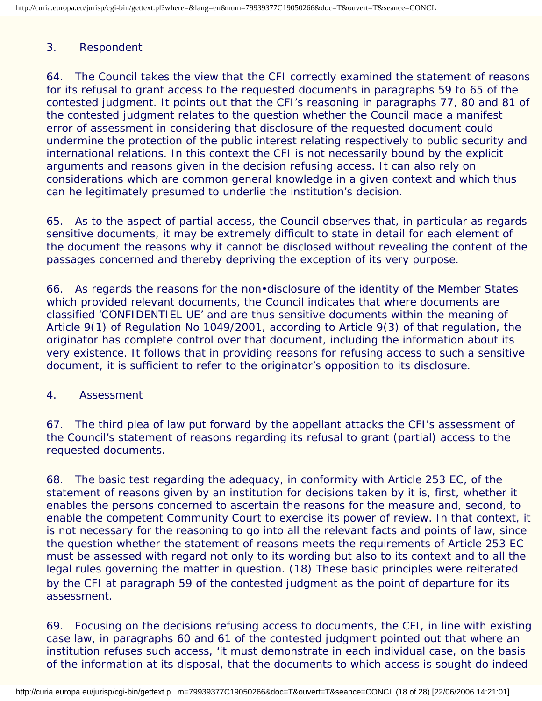## 3. Respondent

64. The Council takes the view that the CFI correctly examined the statement of reasons for its refusal to grant access to the requested documents in paragraphs 59 to 65 of the contested judgment. It points out that the CFI's reasoning in paragraphs 77, 80 and 81 of the contested judgment relates to the question whether the Council made a manifest error of assessment in considering that disclosure of the requested document could undermine the protection of the public interest relating respectively to public security and international relations. In this context the CFI is not necessarily bound by the explicit arguments and reasons given in the decision refusing access. It can also rely on considerations which are common general knowledge in a given context and which thus can he legitimately presumed to underlie the institution's decision.

65. As to the aspect of partial access, the Council observes that, in particular as regards sensitive documents, it may be extremely difficult to state in detail for each element of the document the reasons why it cannot be disclosed without revealing the content of the passages concerned and thereby depriving the exception of its very purpose.

66. As regards the reasons for the non•disclosure of the identity of the Member States which provided relevant documents, the Council indicates that where documents are classified 'CONFIDENTIEL UE' and are thus sensitive documents within the meaning of Article 9(1) of Regulation No 1049/2001, according to Article 9(3) of that regulation, the originator has complete control over that document, including the information about its very existence. It follows that in providing reasons for refusing access to such a sensitive document, it is sufficient to refer to the originator's opposition to its disclosure.

#### 4. Assessment

67. The third plea of law put forward by the appellant attacks the CFI's assessment of the Council's statement of reasons regarding its refusal to grant (partial) access to the requested documents.

68. The basic test regarding the adequacy, in conformity with Article 253 EC, of the statement of reasons given by an institution for decisions taken by it is, first, whether it enables the persons concerned to ascertain the reasons for the measure and, second, to enable the competent Community Court to exercise its power of review. In that context, it is not necessary for the reasoning to go into all the relevant facts and points of law, since the question whether the statement of reasons meets the requirements of Article 253 EC must be assessed with regard not only to its wording but also to its context and to all the legal rules governing the matter in question. [\(18](#page-26-6)) These basic principles were reiterated by the CFI at paragraph 59 of the contested judgment as the point of departure for its assessment.

<span id="page-17-0"></span>69. Focusing on the decisions refusing access to documents, the CFI, in line with existing case law, in paragraphs 60 and 61 of the contested judgment pointed out that where an institution refuses such access, 'it must demonstrate in each individual case, on the basis of the information at its disposal, that the documents to which access is sought do indeed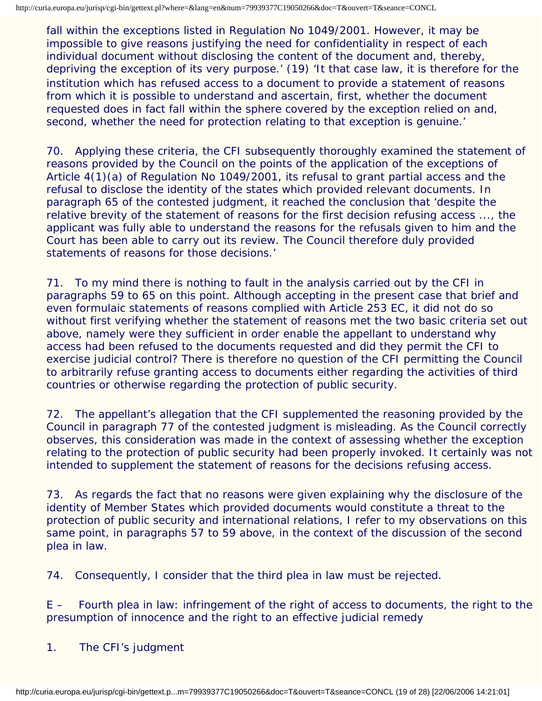<span id="page-18-0"></span>fall within the exceptions listed in Regulation No 1049/2001. However, it may be impossible to give reasons justifying the need for confidentiality in respect of each individual document without disclosing the content of the document and, thereby, depriving the exception of its very purpose.' [\(19\)](#page-26-7) 'It that case law, it is therefore for the institution which has refused access to a document to provide a statement of reasons from which it is possible to understand and ascertain, first, whether the document requested does in fact fall within the sphere covered by the exception relied on and, second, whether the need for protection relating to that exception is genuine.'

70. Applying these criteria, the CFI subsequently thoroughly examined the statement of reasons provided by the Council on the points of the application of the exceptions of Article 4(1)(a) of Regulation No 1049/2001, its refusal to grant partial access and the refusal to disclose the identity of the states which provided relevant documents. In paragraph 65 of the contested judgment, it reached the conclusion that 'despite the relative brevity of the statement of reasons for the first decision refusing access ..., the applicant was fully able to understand the reasons for the refusals given to him and the Court has been able to carry out its review. The Council therefore duly provided statements of reasons for those decisions.'

71. To my mind there is nothing to fault in the analysis carried out by the CFI in paragraphs 59 to 65 on this point. Although accepting in the present case that brief and even formulaic statements of reasons complied with Article 253 EC, it did not do so without first verifying whether the statement of reasons met the two basic criteria set out above, namely were they sufficient in order enable the appellant to understand why access had been refused to the documents requested and did they permit the CFI to exercise judicial control? There is therefore no question of the CFI permitting the Council to arbitrarily refuse granting access to documents either regarding the activities of third countries or otherwise regarding the protection of public security.

72. The appellant's allegation that the CFI supplemented the reasoning provided by the Council in paragraph 77 of the contested judgment is misleading. As the Council correctly observes, this consideration was made in the context of assessing whether the exception relating to the protection of public security had been properly invoked. It certainly was not intended to supplement the statement of reasons for the decisions refusing access.

73. As regards the fact that no reasons were given explaining why the disclosure of the identity of Member States which provided documents would constitute a threat to the protection of public security and international relations, I refer to my observations on this same point, in paragraphs 57 to 59 above, in the context of the discussion of the second plea in law.

74. Consequently, I consider that the third plea in law must be rejected.

E – *Fourth plea in law: infringement of the right of access to documents, the right to the presumption of innocence and the right to an effective judicial remedy*

1. The CFI's judgment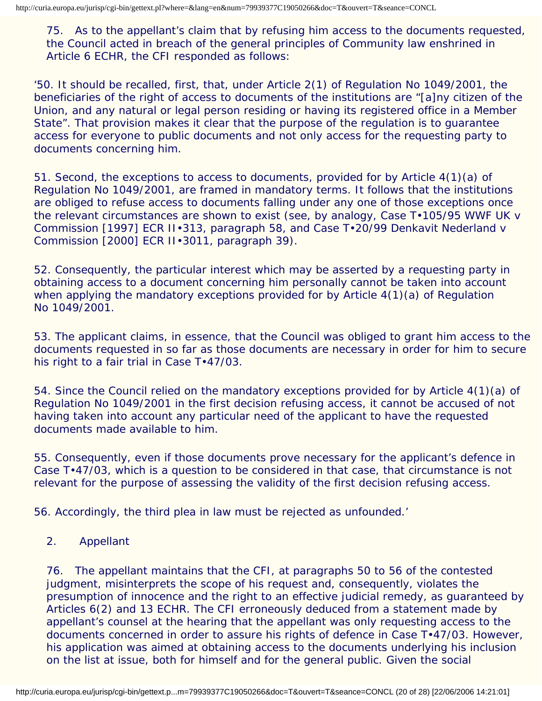75. As to the appellant's claim that by refusing him access to the documents requested, the Council acted in breach of the general principles of Community law enshrined in Article 6 ECHR, the CFI responded as follows:

'50. It should be recalled, first, that, under Article 2(1) of Regulation No 1049/2001, the beneficiaries of the right of access to documents of the institutions are "[a]ny citizen of the Union, and any natural or legal person residing or having its registered office in a Member State". That provision makes it clear that the purpose of the regulation is to guarantee access for everyone to public documents and not only access for the requesting party to documents concerning him.

51. Second, the exceptions to access to documents, provided for by Article 4(1)(a) of Regulation No 1049/2001, are framed in mandatory terms. It follows that the institutions are obliged to refuse access to documents falling under any one of those exceptions once the relevant circumstances are shown to exist (see, by analogy, Case T•105/95 *WWF UK* v *Commission* [1997] ECR II•313, paragraph 58, and Case T•20/99 *Denkavit Nederland* v *Commission* [2000] ECR II•3011, paragraph 39).

52. Consequently, the particular interest which may be asserted by a requesting party in obtaining access to a document concerning him personally cannot be taken into account when applying the mandatory exceptions provided for by Article 4(1)(a) of Regulation No 1049/2001.

53. The applicant claims, in essence, that the Council was obliged to grant him access to the documents requested in so far as those documents are necessary in order for him to secure his right to a fair trial in Case T $\cdot$ 47/03.

54. Since the Council relied on the mandatory exceptions provided for by Article 4(1)(a) of Regulation No 1049/2001 in the first decision refusing access, it cannot be accused of not having taken into account any particular need of the applicant to have the requested documents made available to him.

55. Consequently, even if those documents prove necessary for the applicant's defence in Case T•47/03, which is a question to be considered in that case, that circumstance is not relevant for the purpose of assessing the validity of the first decision refusing access.

56. Accordingly, the third plea in law must be rejected as unfounded.'

2. Appellant

76. The appellant maintains that the CFI, at paragraphs 50 to 56 of the contested judgment, misinterprets the scope of his request and, consequently, violates the presumption of innocence and the right to an effective judicial remedy, as guaranteed by Articles 6(2) and 13 ECHR. The CFI erroneously deduced from a statement made by appellant's counsel at the hearing that the appellant was only requesting access to the documents concerned in order to assure his rights of defence in Case T•47/03. However, his application was aimed at obtaining access to the documents underlying his inclusion on the list at issue, both for himself and for the general public. Given the social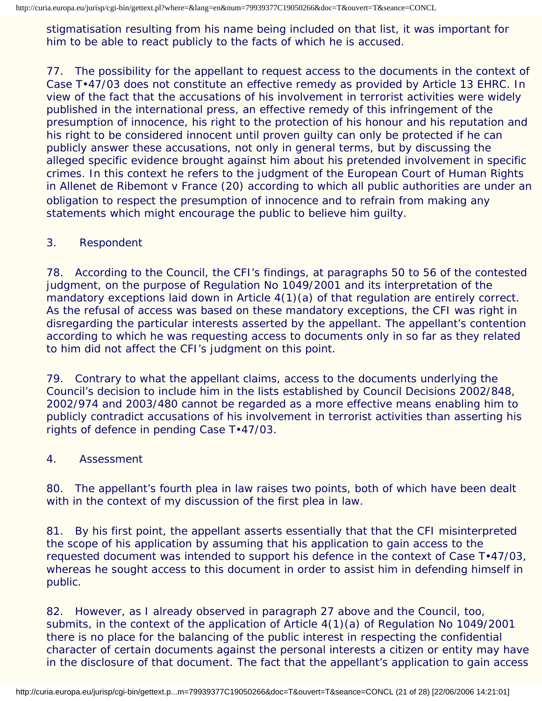stigmatisation resulting from his name being included on that list, it was important for him to be able to react publicly to the facts of which he is accused.

77. The possibility for the appellant to request access to the documents in the context of Case T•47/03 does not constitute an effective remedy as provided by Article 13 EHRC. In view of the fact that the accusations of his involvement in terrorist activities were widely published in the international press, an effective remedy of this infringement of the presumption of innocence, his right to the protection of his honour and his reputation and his right to be considered innocent until proven guilty can only be protected if he can publicly answer these accusations, not only in general terms, but by discussing the alleged specific evidence brought against him about his pretended involvement in specific crimes. In this context he refers to the judgment of the European Court of Human Rights in *Allenet de Ribemont* v *France* [\(20](#page-26-8)) according to which all public authorities are under an obligation to respect the presumption of innocence and to refrain from making any statements which might encourage the public to believe him guilty.

## <span id="page-20-0"></span>3. Respondent

78. According to the Council, the CFI's findings, at paragraphs 50 to 56 of the contested judgment, on the purpose of Regulation No 1049/2001 and its interpretation of the mandatory exceptions laid down in Article  $4(1)(a)$  of that regulation are entirely correct. As the refusal of access was based on these mandatory exceptions, the CFI was right in disregarding the particular interests asserted by the appellant. The appellant's contention according to which he was requesting access to documents only in so far as they related to him did not affect the CFI's judgment on this point.

79. Contrary to what the appellant claims, access to the documents underlying the Council's decision to include him in the lists established by Council Decisions 2002/848, 2002/974 and 2003/480 cannot be regarded as a more effective means enabling him to publicly contradict accusations of his involvement in terrorist activities than asserting his rights of defence in pending Case T•47/03.

#### 4. Assessment

80. The appellant's fourth plea in law raises two points, both of which have been dealt with in the context of my discussion of the first plea in law.

81. By his first point, the appellant asserts essentially that that the CFI misinterpreted the scope of his application by assuming that his application to gain access to the requested document was intended to support his defence in the context of Case T•47/03, whereas he sought access to this document in order to assist him in defending himself in public.

82. However, as I already observed in paragraph 27 above and the Council, too, submits, in the context of the application of Article  $4(1)(a)$  of Regulation No 1049/2001 there is no place for the balancing of the public interest in respecting the confidential character of certain documents against the personal interests a citizen or entity may have in the disclosure of that document. The fact that the appellant's application to gain access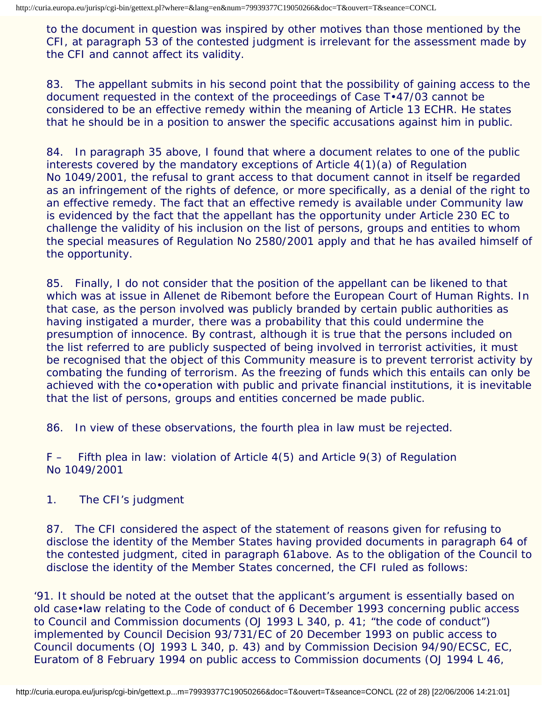to the document in question was inspired by other motives than those mentioned by the CFI, at paragraph 53 of the contested judgment is irrelevant for the assessment made by the CFI and cannot affect its validity.

83. The appellant submits in his second point that the possibility of gaining access to the document requested in the context of the proceedings of Case T•47/03 cannot be considered to be an effective remedy within the meaning of Article 13 ECHR. He states that he should be in a position to answer the specific accusations against him in public.

84. In paragraph 35 above, I found that where a document relates to one of the public interests covered by the mandatory exceptions of Article  $4(1)(a)$  of Regulation No 1049/2001, the refusal to grant access to that document cannot in itself be regarded as an infringement of the rights of defence, or more specifically, as a denial of the right to an effective remedy. The fact that an effective remedy is available under Community law is evidenced by the fact that the appellant has the opportunity under Article 230 EC to challenge the validity of his inclusion on the list of persons, groups and entities to whom the special measures of Regulation No 2580/2001 apply and that he has availed himself of the opportunity.

85. Finally, I do not consider that the position of the appellant can be likened to that which was at issue in *Allenet de Ribemont* before the European Court of Human Rights. In that case, as the person involved was publicly branded by certain public authorities as having instigated a murder, there was a probability that this could undermine the presumption of innocence. By contrast, although it is true that the persons included on the list referred to are publicly suspected of being involved in terrorist activities, it must be recognised that the object of this Community measure is to prevent terrorist activity by combating the funding of terrorism. As the freezing of funds which this entails can only be achieved with the co•operation with public and private financial institutions, it is inevitable that the list of persons, groups and entities concerned be made public.

86. In view of these observations, the fourth plea in law must be rejected.

F – *Fifth plea in law: violation of Article 4(5) and Article 9(3) of Regulation No 1049/2001*

1. The CFI's judgment

87. The CFI considered the aspect of the statement of reasons given for refusing to disclose the identity of the Member States having provided documents in paragraph 64 of the contested judgment, cited in paragraph 61above. As to the obligation of the Council to disclose the identity of the Member States concerned, the CFI ruled as follows:

'91. It should be noted at the outset that the applicant's argument is essentially based on old case•law relating to the Code of conduct of 6 December 1993 concerning public access to Council and Commission documents (OJ 1993 L 340, p. 41; "the code of conduct") implemented by Council Decision 93/731/EC of 20 December 1993 on public access to Council documents (OJ 1993 L 340, p. 43) and by Commission Decision 94/90/ECSC, EC, Euratom of 8 February 1994 on public access to Commission documents (OJ 1994 L 46,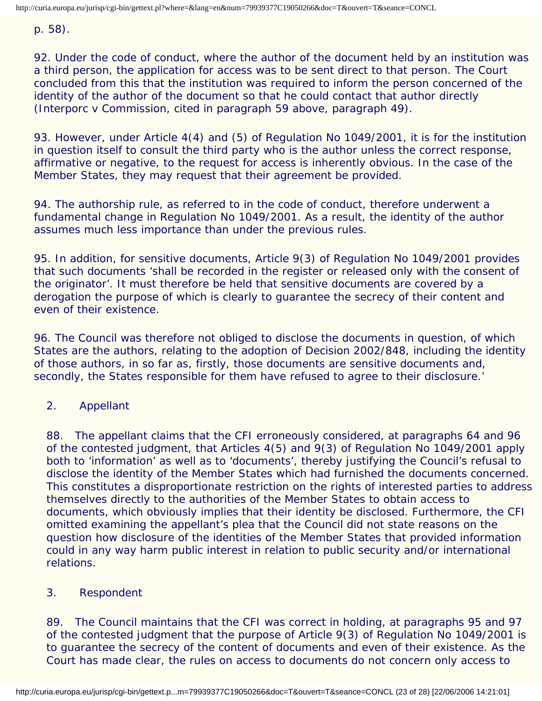p. 58).

92. Under the code of conduct, where the author of the document held by an institution was a third person, the application for access was to be sent direct to that person. The Court concluded from this that the institution was required to inform the person concerned of the identity of the author of the document so that he could contact that author directly (*Interporc* v *Commission*, cited in paragraph 59 above, paragraph 49).

93. However, under Article 4(4) and (5) of Regulation No 1049/2001, it is for the institution in question itself to consult the third party who is the author unless the correct response, affirmative or negative, to the request for access is inherently obvious. In the case of the Member States, they may request that their agreement be provided.

94. The authorship rule, as referred to in the code of conduct, therefore underwent a fundamental change in Regulation No 1049/2001. As a result, the identity of the author assumes much less importance than under the previous rules.

95. In addition, for sensitive documents, Article 9(3) of Regulation No 1049/2001 provides that such documents 'shall be recorded in the register or released only with the consent of the originator'. It must therefore be held that sensitive documents are covered by a derogation the purpose of which is clearly to guarantee the secrecy of their content and even of their existence.

96. The Council was therefore not obliged to disclose the documents in question, of which States are the authors, relating to the adoption of Decision 2002/848, including the identity of those authors, in so far as, firstly, those documents are sensitive documents and, secondly, the States responsible for them have refused to agree to their disclosure.'

2. Appellant

88. The appellant claims that the CFI erroneously considered, at paragraphs 64 and 96 of the contested judgment, that Articles 4(5) and 9(3) of Regulation No 1049/2001 apply both to 'information' as well as to 'documents', thereby justifying the Council's refusal to disclose the identity of the Member States which had furnished the documents concerned. This constitutes a disproportionate restriction on the rights of interested parties to address themselves directly to the authorities of the Member States to obtain access to documents, which obviously implies that their identity be disclosed. Furthermore, the CFI omitted examining the appellant's plea that the Council did not state reasons on the question how disclosure of the identities of the Member States that provided information could in any way harm public interest in relation to public security and/or international relations.

## 3. Respondent

89. The Council maintains that the CFI was correct in holding, at paragraphs 95 and 97 of the contested judgment that the purpose of Article 9(3) of Regulation No 1049/2001 is to guarantee the secrecy of the content of documents and even of their existence. As the Court has made clear, the rules on access to documents do not concern only access to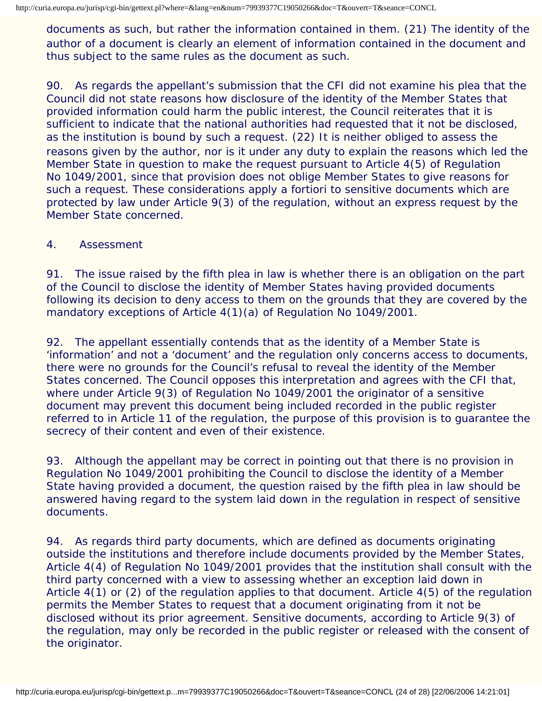<span id="page-23-0"></span>http://curia.europa.eu/jurisp/cgi-bin/gettext.pl?where=&lang=en&num=79939377C19050266&doc=T&ouvert=T&seance=CONCL

documents as such, but rather the information contained in them. [\(21\)](#page-27-0) The identity of the author of a document is clearly an element of information contained in the document and thus subject to the same rules as the document as such.

<span id="page-23-1"></span>90. As regards the appellant's submission that the CFI did not examine his plea that the Council did not state reasons how disclosure of the identity of the Member States that provided information could harm the public interest, the Council reiterates that it is sufficient to indicate that the national authorities had requested that it not be disclosed, as the institution is bound by such a request. ([22\)](#page-27-1) It is neither obliged to assess the reasons given by the author, nor is it under any duty to explain the reasons which led the Member State in question to make the request pursuant to Article 4(5) of Regulation No 1049/2001, since that provision does not oblige Member States to give reasons for such a request. These considerations apply *a fortiori* to sensitive documents which are protected by law under Article 9(3) of the regulation, without an express request by the Member State concerned.

#### 4. Assessment

91. The issue raised by the fifth plea in law is whether there is an obligation on the part of the Council to disclose the identity of Member States having provided documents following its decision to deny access to them on the grounds that they are covered by the mandatory exceptions of Article 4(1)(a) of Regulation No 1049/2001.

92. The appellant essentially contends that as the identity of a Member State is 'information' and not a 'document' and the regulation only concerns access to documents, there were no grounds for the Council's refusal to reveal the identity of the Member States concerned. The Council opposes this interpretation and agrees with the CFI that, where under Article 9(3) of Regulation No 1049/2001 the originator of a sensitive document may prevent this document being included recorded in the public register referred to in Article 11 of the regulation, the purpose of this provision is to guarantee the secrecy of their content and even of their existence.

93. Although the appellant may be correct in pointing out that there is no provision in Regulation No 1049/2001 prohibiting the Council to disclose the identity of a Member State having provided a document, the question raised by the fifth plea in law should be answered having regard to the system laid down in the regulation in respect of sensitive documents.

94. As regards third party documents, which are defined as documents originating outside the institutions and therefore include documents provided by the Member States, Article 4(4) of Regulation No 1049/2001 provides that the institution shall consult with the third party concerned with a view to assessing whether an exception laid down in Article 4(1) or (2) of the regulation applies to that document. Article 4(5) of the regulation permits the Member States to request that a document originating from it not be disclosed without its prior agreement. Sensitive documents, according to Article 9(3) of the regulation, may only be recorded in the public register or released with the consent of the originator.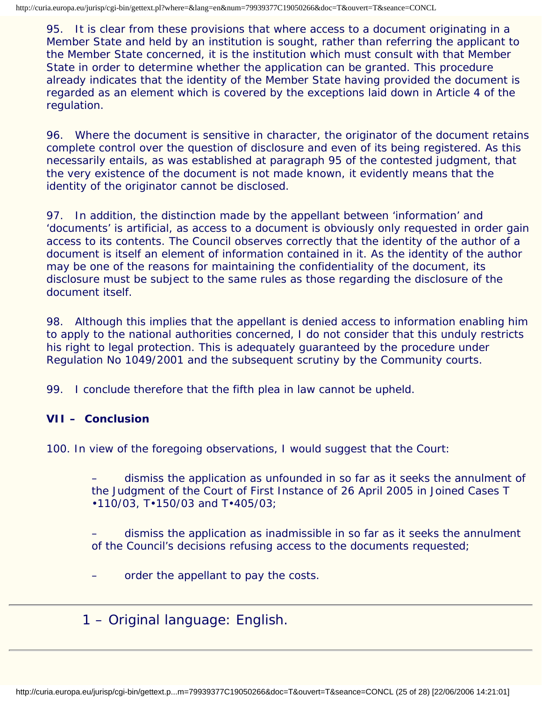95. It is clear from these provisions that where access to a document originating in a Member State and held by an institution is sought, rather than referring the applicant to the Member State concerned, it is the institution which must consult with that Member State in order to determine whether the application can be granted. This procedure already indicates that the identity of the Member State having provided the document is regarded as an element which is covered by the exceptions laid down in Article 4 of the regulation.

96. Where the document is sensitive in character, the originator of the document retains complete control over the question of disclosure and even of its being registered. As this necessarily entails, as was established at paragraph 95 of the contested judgment, that the very existence of the document is not made known, it evidently means that the identity of the originator cannot be disclosed.

97. In addition, the distinction made by the appellant between 'information' and 'documents' is artificial, as access to a document is obviously only requested in order gain access to its contents. The Council observes correctly that the identity of the author of a document is itself an element of information contained in it. As the identity of the author may be one of the reasons for maintaining the confidentiality of the document, its disclosure must be subject to the same rules as those regarding the disclosure of the document itself.

98. Although this implies that the appellant is denied access to information enabling him to apply to the national authorities concerned, I do not consider that this unduly restricts his right to legal protection. This is adequately guaranteed by the procedure under Regulation No 1049/2001 and the subsequent scrutiny by the Community courts.

99. I conclude therefore that the fifth plea in law cannot be upheld.

## **VII – Conclusion**

100. In view of the foregoing observations, I would suggest that the Court:

dismiss the application as unfounded in so far as it seeks the annulment of the Judgment of the Court of First Instance of 26 April 2005 in Joined Cases T •110/03, T•150/03 and T•405/03;

dismiss the application as inadmissible in so far as it seeks the annulment of the Council's decisions refusing access to the documents requested;

order the appellant to pay the costs.

<span id="page-24-1"></span><span id="page-24-0"></span>[1](#page-0-0) – Original language: English.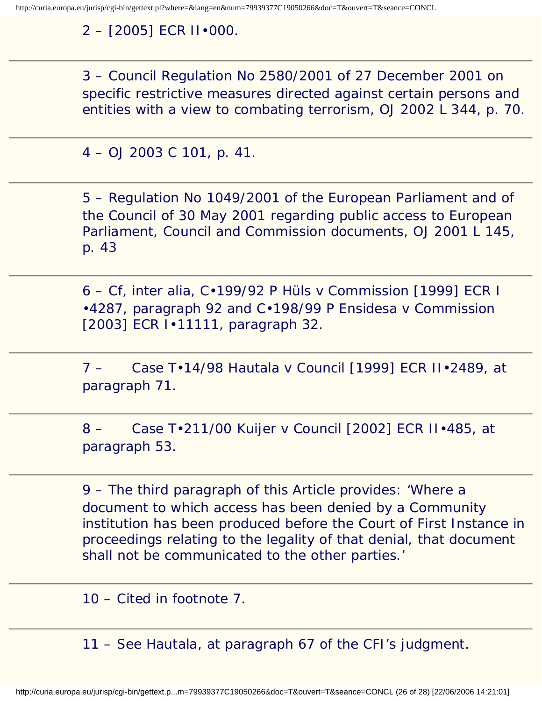# [2](#page-0-1) – [2005] ECR II•000.

<span id="page-25-0"></span>[3](#page-0-2) – Council Regulation No 2580/2001 of 27 December 2001 on specific restrictive measures directed against certain persons and entities with a view to combating terrorism, OJ 2002 L 344, p. 70.

<span id="page-25-1"></span>[4](#page-1-0) – OJ 2003 C 101, p. 41.

<span id="page-25-2"></span>[5](#page-1-1) – Regulation No 1049/2001 of the European Parliament and of the Council of 30 May 2001 regarding public access to European Parliament, Council and Commission documents, OJ 2001 L 145, p. 43

<span id="page-25-3"></span>[6](#page-5-0) – Cf, inter alia, C•199/92 P *Hüls* v *Commission* [1999] ECR I •4287, paragraph 92 and C•198/99 P *Ensidesa* v *Commission* [2003] ECR I•11111, paragraph 32.

<span id="page-25-4"></span>[7](#page-5-1) – Case T•14/98 *Hautala* v *Council* [1999] ECR II•2489, at paragraph 71.

<span id="page-25-5"></span>[8](#page-5-1) – Case T•211/00 *Kuijer* v *Council* [2002] ECR II•485, at paragraph 53.

<span id="page-25-6"></span>[9](#page-6-0) – The third paragraph of this Article provides: 'Where a document to which access has been denied by a Community institution has been produced before the Court of First Instance in proceedings relating to the legality of that denial, that document shall not be communicated to the other parties.'

<span id="page-25-7"></span>[10](#page-6-1) – Cited in footnote 7.

<span id="page-25-8"></span>[11](#page-6-2) – See *Hautala*, at paragraph 67 of the CFI's judgment.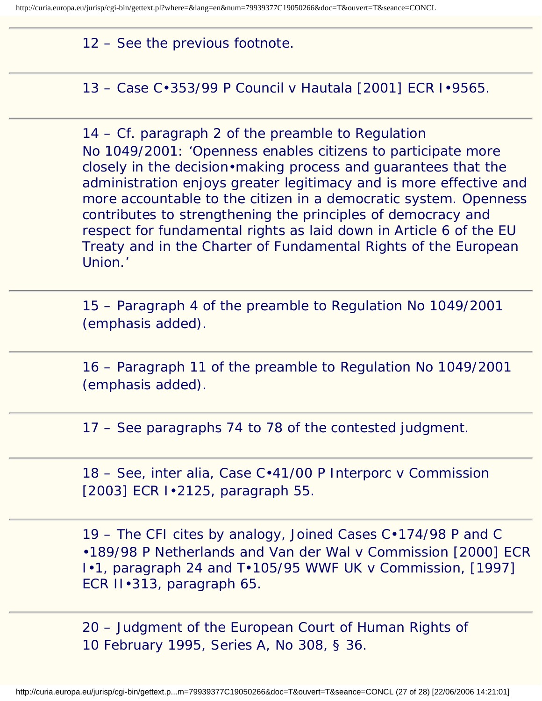<span id="page-26-0"></span>[12](#page-7-0) – See the previous footnote.

<span id="page-26-1"></span>[13](#page-7-1) – Case C•353/99 P *Council* v *Hautala* [2001] ECR I•9565.

<span id="page-26-2"></span>[14](#page-8-0) – Cf. paragraph 2 of the preamble to Regulation No 1049/2001: 'Openness enables citizens to participate more closely in the decision•making process and guarantees that the administration enjoys greater legitimacy and is more effective and more accountable to the citizen in a democratic system. Openness contributes to strengthening the principles of democracy and respect for fundamental rights as laid down in Article 6 of the EU Treaty and in the Charter of Fundamental Rights of the European Union.'

<span id="page-26-3"></span>[15](#page-8-1) – Paragraph 4 of the preamble to Regulation No 1049/2001 (emphasis added).

<span id="page-26-4"></span>[16](#page-8-2) – Paragraph 11 of the preamble to Regulation No 1049/2001 (emphasis added).

<span id="page-26-5"></span>[17](#page-13-0) – See paragraphs 74 to 78 of the contested judgment.

<span id="page-26-6"></span>[18](#page-17-0) – See, inter alia, Case C•41/00 P *Interporc* v *Commission* [2003] ECR I•2125, paragraph 55.

<span id="page-26-7"></span>[19](#page-18-0) – The CFI cites by analogy, Joined Cases C•174/98 P and C •189/98 P *Netherlands and Van der Wal* v *Commission* [2000] ECR I•1, paragraph 24 and T•105/95 *WWF UK* v *Commission*, [1997] ECR II•313, paragraph 65.

<span id="page-26-8"></span>[20](#page-20-0) – Judgment of the European Court of Human Rights of 10 February 1995, Series A, No 308, § 36.